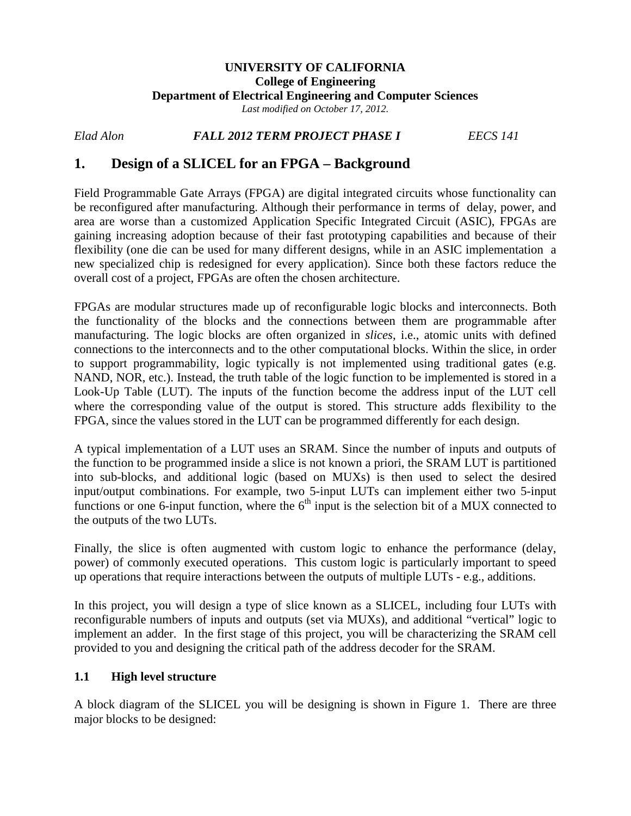### **UNIVERSITY OF CALIFORNIA College of Engineering Department of Electrical Engineering and Computer Sciences** *Last modified on October 17, 2012.*

*Elad Alon FALL 2012 TERM PROJECT PHASE I EECS 141*

# **1. Design of a SLICEL for an FPGA – Background**

Field Programmable Gate Arrays (FPGA) are digital integrated circuits whose functionality can be reconfigured after manufacturing. Although their performance in terms of delay, power, and area are worse than a customized Application Specific Integrated Circuit (ASIC), FPGAs are gaining increasing adoption because of their fast prototyping capabilities and because of their flexibility (one die can be used for many different designs, while in an ASIC implementation a new specialized chip is redesigned for every application). Since both these factors reduce the overall cost of a project, FPGAs are often the chosen architecture.

FPGAs are modular structures made up of reconfigurable logic blocks and interconnects. Both the functionality of the blocks and the connections between them are programmable after manufacturing. The logic blocks are often organized in *slices*, i.e., atomic units with defined connections to the interconnects and to the other computational blocks. Within the slice, in order to support programmability, logic typically is not implemented using traditional gates (e.g. NAND, NOR, etc.). Instead, the truth table of the logic function to be implemented is stored in a Look-Up Table (LUT). The inputs of the function become the address input of the LUT cell where the corresponding value of the output is stored. This structure adds flexibility to the FPGA, since the values stored in the LUT can be programmed differently for each design.

A typical implementation of a LUT uses an SRAM. Since the number of inputs and outputs of the function to be programmed inside a slice is not known a priori, the SRAM LUT is partitioned into sub-blocks, and additional logic (based on MUXs) is then used to select the desired input/output combinations. For example, two 5-input LUTs can implement either two 5-input functions or one 6-input function, where the  $6<sup>th</sup>$  input is the selection bit of a MUX connected to the outputs of the two LUTs.

Finally, the slice is often augmented with custom logic to enhance the performance (delay, power) of commonly executed operations. This custom logic is particularly important to speed up operations that require interactions between the outputs of multiple LUTs - e.g., additions.

In this project, you will design a type of slice known as a SLICEL, including four LUTs with reconfigurable numbers of inputs and outputs (set via MUXs), and additional "vertical" logic to implement an adder. In the first stage of this project, you will be characterizing the SRAM cell provided to you and designing the critical path of the address decoder for the SRAM.

# **1.1 High level structure**

A block diagram of the SLICEL you will be designing is shown in Figure 1. There are three major blocks to be designed: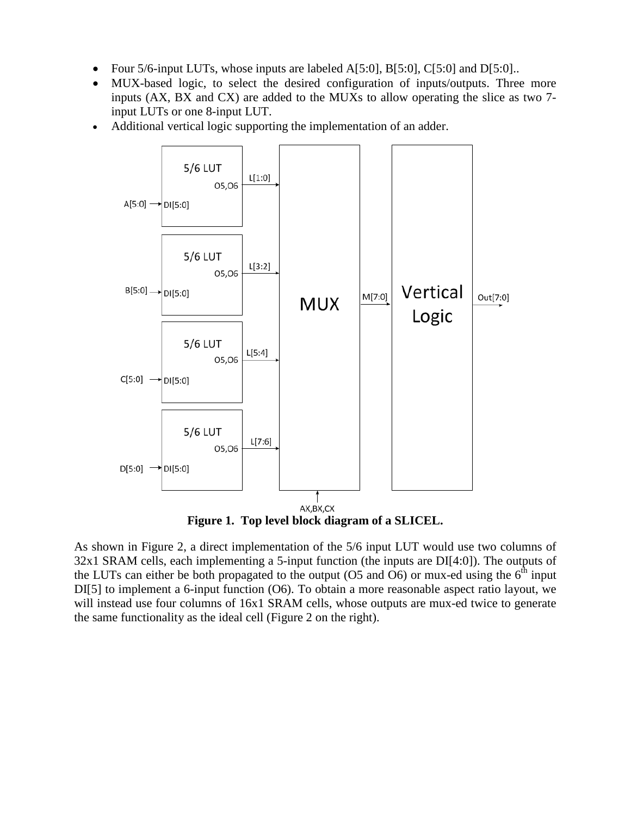- Four 5/6-input LUTs, whose inputs are labeled A[5:0], B[5:0], C[5:0] and D[5:0]..
- MUX-based logic, to select the desired configuration of inputs/outputs. Three more inputs (AX, BX and CX) are added to the MUXs to allow operating the slice as two 7 input LUTs or one 8-input LUT.
- Additional vertical logic supporting the implementation of an adder.



**Figure 1. Top level block diagram of a SLICEL.**

As shown in Figure 2, a direct implementation of the 5/6 input LUT would use two columns of 32x1 SRAM cells, each implementing a 5-input function (the inputs are DI[4:0]). The outputs of the LUTs can either be both propagated to the output (O5 and O6) or mux-ed using the  $6<sup>th</sup>$  input DI[5] to implement a 6-input function (O6). To obtain a more reasonable aspect ratio layout, we will instead use four columns of 16x1 SRAM cells, whose outputs are mux-ed twice to generate the same functionality as the ideal cell (Figure 2 on the right).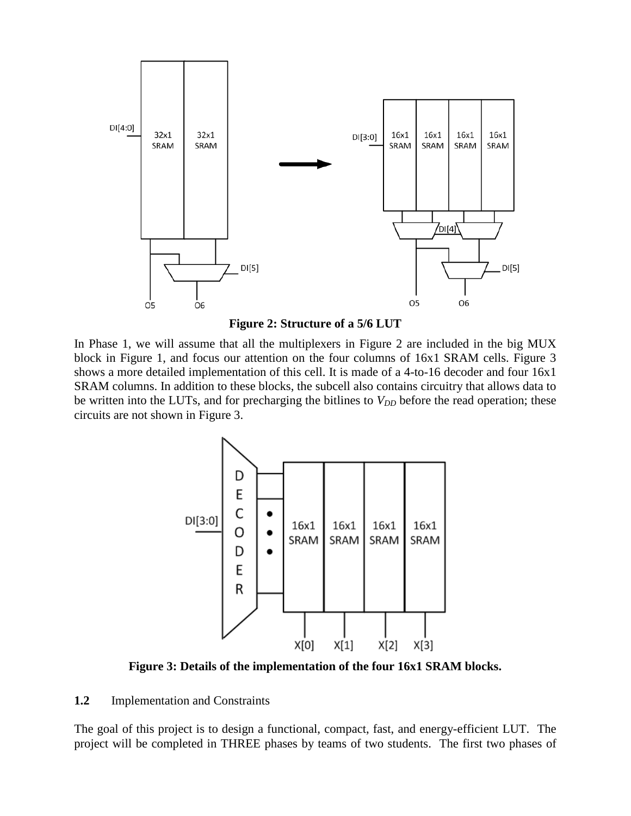

**Figure 2: Structure of a 5/6 LUT**

In Phase 1, we will assume that all the multiplexers in Figure 2 are included in the big MUX block in Figure 1, and focus our attention on the four columns of 16x1 SRAM cells. Figure 3 shows a more detailed implementation of this cell. It is made of a 4-to-16 decoder and four 16x1 SRAM columns. In addition to these blocks, the subcell also contains circuitry that allows data to be written into the LUTs, and for precharging the bitlines to  $V_{DD}$  before the read operation; these circuits are not shown in Figure 3.



**Figure 3: Details of the implementation of the four 16x1 SRAM blocks.**

#### **1.2** Implementation and Constraints

The goal of this project is to design a functional, compact, fast, and energy-efficient LUT. The project will be completed in THREE phases by teams of two students. The first two phases of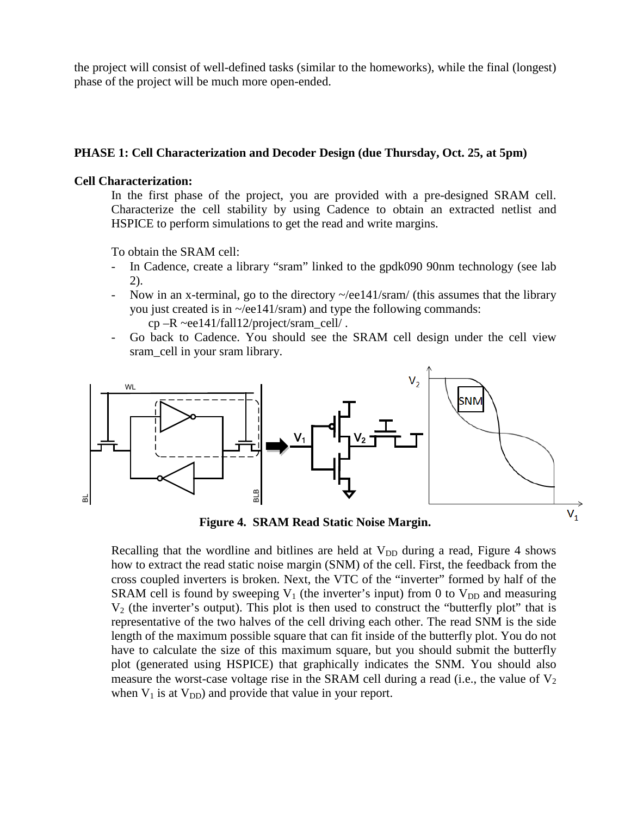the project will consist of well-defined tasks (similar to the homeworks), while the final (longest) phase of the project will be much more open-ended.

### **PHASE 1: Cell Characterization and Decoder Design (due Thursday, Oct. 25, at 5pm)**

### **Cell Characterization:**

In the first phase of the project, you are provided with a pre-designed SRAM cell. Characterize the cell stability by using Cadence to obtain an extracted netlist and HSPICE to perform simulations to get the read and write margins.

To obtain the SRAM cell:

- In Cadence, create a library "sram" linked to the gpdk090 90nm technology (see lab 2).
- Now in an x-terminal, go to the directory  $\sim$ /ee141/sram/ (this assumes that the library you just created is in  $\sim$ /ee141/sram) and type the following commands: cp –R ~ee141/fall12/project/sram\_cell/ .
	-
- Go back to Cadence. You should see the SRAM cell design under the cell view sram\_cell in your sram library.



**Figure 4. SRAM Read Static Noise Margin.**

Recalling that the wordline and bitlines are held at  $V_{DD}$  during a read, Figure 4 shows how to extract the read static noise margin (SNM) of the cell. First, the feedback from the cross coupled inverters is broken. Next, the VTC of the "inverter" formed by half of the SRAM cell is found by sweeping  $V_1$  (the inverter's input) from 0 to  $V_{DD}$  and measuring  $V_2$  (the inverter's output). This plot is then used to construct the "butterfly plot" that is representative of the two halves of the cell driving each other. The read SNM is the side length of the maximum possible square that can fit inside of the butterfly plot. You do not have to calculate the size of this maximum square, but you should submit the butterfly plot (generated using HSPICE) that graphically indicates the SNM. You should also measure the worst-case voltage rise in the SRAM cell during a read (i.e., the value of  $V_2$ ) when  $V_1$  is at  $V_{DD}$ ) and provide that value in your report.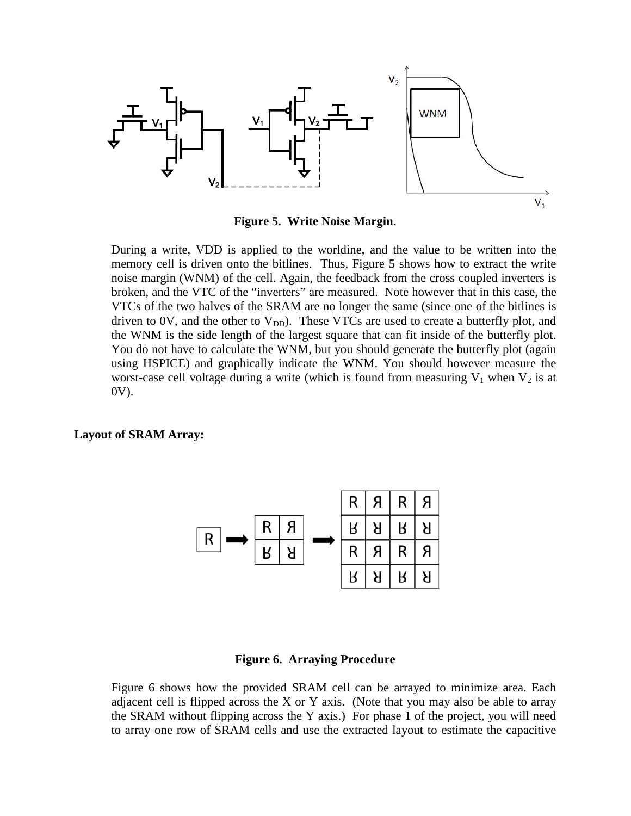

**Figure 5. Write Noise Margin.**

During a write, VDD is applied to the worldine, and the value to be written into the memory cell is driven onto the bitlines. Thus, Figure 5 shows how to extract the write noise margin (WNM) of the cell. Again, the feedback from the cross coupled inverters is broken, and the VTC of the "inverters" are measured. Note however that in this case, the VTCs of the two halves of the SRAM are no longer the same (since one of the bitlines is driven to 0V, and the other to  $V_{DD}$ ). These VTCs are used to create a butterfly plot, and the WNM is the side length of the largest square that can fit inside of the butterfly plot. You do not have to calculate the WNM, but you should generate the butterfly plot (again using HSPICE) and graphically indicate the WNM. You should however measure the worst-case cell voltage during a write (which is found from measuring  $V_1$  when  $V_2$  is at 0V).

#### **Layout of SRAM Array:**



#### **Figure 6. Arraying Procedure**

Figure 6 shows how the provided SRAM cell can be arrayed to minimize area. Each adjacent cell is flipped across the X or Y axis. (Note that you may also be able to array the SRAM without flipping across the Y axis.) For phase 1 of the project, you will need to array one row of SRAM cells and use the extracted layout to estimate the capacitive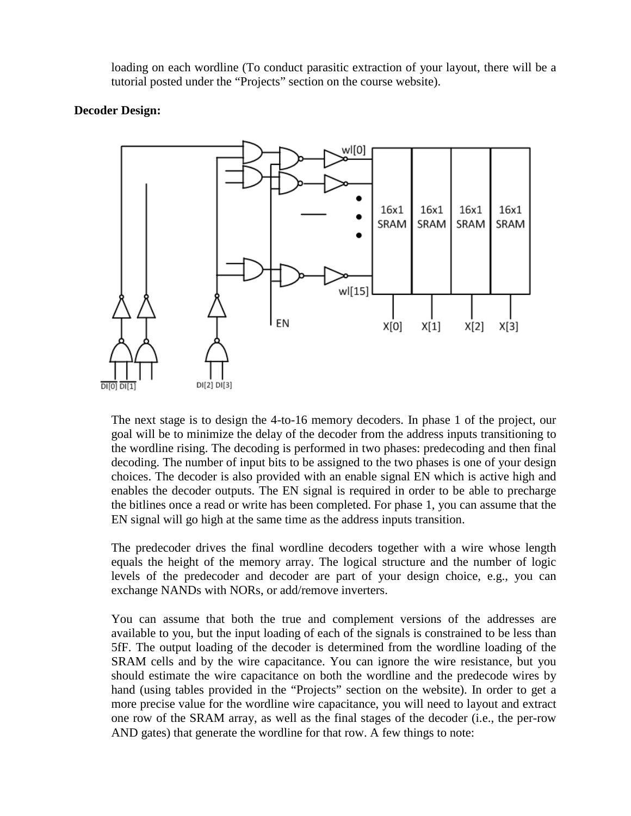loading on each wordline (To conduct parasitic extraction of your layout, there will be a tutorial posted under the "Projects" section on the course website).

### **Decoder Design:**



The next stage is to design the 4-to-16 memory decoders. In phase 1 of the project, our goal will be to minimize the delay of the decoder from the address inputs transitioning to the wordline rising. The decoding is performed in two phases: predecoding and then final decoding. The number of input bits to be assigned to the two phases is one of your design choices. The decoder is also provided with an enable signal EN which is active high and enables the decoder outputs. The EN signal is required in order to be able to precharge the bitlines once a read or write has been completed. For phase 1, you can assume that the EN signal will go high at the same time as the address inputs transition.

The predecoder drives the final wordline decoders together with a wire whose length equals the height of the memory array. The logical structure and the number of logic levels of the predecoder and decoder are part of your design choice, e.g., you can exchange NANDs with NORs, or add/remove inverters.

You can assume that both the true and complement versions of the addresses are available to you, but the input loading of each of the signals is constrained to be less than 5fF. The output loading of the decoder is determined from the wordline loading of the SRAM cells and by the wire capacitance. You can ignore the wire resistance, but you should estimate the wire capacitance on both the wordline and the predecode wires by hand (using tables provided in the "Projects" section on the website). In order to get a more precise value for the wordline wire capacitance, you will need to layout and extract one row of the SRAM array, as well as the final stages of the decoder (i.e., the per-row AND gates) that generate the wordline for that row. A few things to note: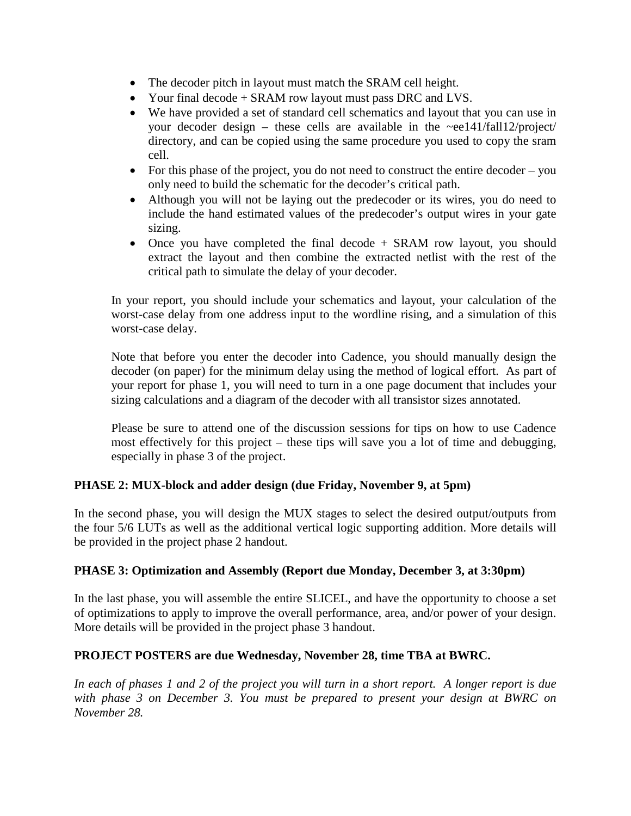- The decoder pitch in layout must match the SRAM cell height.
- Your final decode + SRAM row layout must pass DRC and LVS.
- We have provided a set of standard cell schematics and layout that you can use in your decoder design – these cells are available in the  $\sim$ ee141/fall12/project/ directory, and can be copied using the same procedure you used to copy the sram cell.
- For this phase of the project, you do not need to construct the entire decoder you only need to build the schematic for the decoder's critical path.
- Although you will not be laying out the predecoder or its wires, you do need to include the hand estimated values of the predecoder's output wires in your gate sizing.
- Once you have completed the final decode + SRAM row layout, you should extract the layout and then combine the extracted netlist with the rest of the critical path to simulate the delay of your decoder.

In your report, you should include your schematics and layout, your calculation of the worst-case delay from one address input to the wordline rising, and a simulation of this worst-case delay.

Note that before you enter the decoder into Cadence, you should manually design the decoder (on paper) for the minimum delay using the method of logical effort. As part of your report for phase 1, you will need to turn in a one page document that includes your sizing calculations and a diagram of the decoder with all transistor sizes annotated.

Please be sure to attend one of the discussion sessions for tips on how to use Cadence most effectively for this project – these tips will save you a lot of time and debugging, especially in phase 3 of the project.

# **PHASE 2: MUX-block and adder design (due Friday, November 9, at 5pm)**

In the second phase, you will design the MUX stages to select the desired output/outputs from the four 5/6 LUTs as well as the additional vertical logic supporting addition. More details will be provided in the project phase 2 handout.

# **PHASE 3: Optimization and Assembly (Report due Monday, December 3, at 3:30pm)**

In the last phase, you will assemble the entire SLICEL, and have the opportunity to choose a set of optimizations to apply to improve the overall performance, area, and/or power of your design. More details will be provided in the project phase 3 handout.

# **PROJECT POSTERS are due Wednesday, November 28, time TBA at BWRC.**

*In each of phases 1 and 2 of the project you will turn in a short report. A longer report is due with phase 3 on December 3. You must be prepared to present your design at BWRC on November 28.*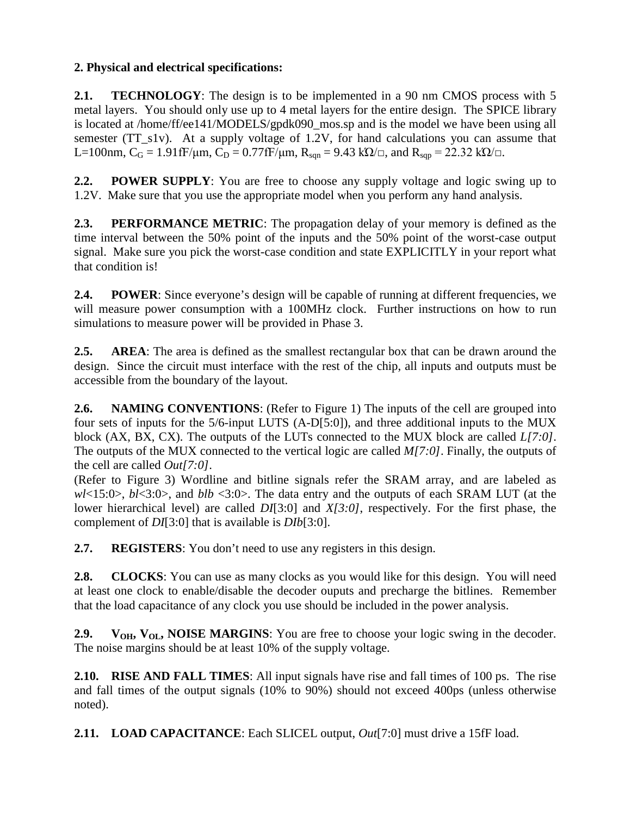# **2. Physical and electrical specifications:**

**2.1. TECHNOLOGY**: The design is to be implemented in a 90 nm CMOS process with 5 metal layers. You should only use up to 4 metal layers for the entire design. The SPICE library is located at /home/ff/ee141/MODELS/gpdk090\_mos.sp and is the model we have been using all semester (TT\_s1v). At a supply voltage of 1.2V, for hand calculations you can assume that L=100nm,  $C_G = 1.91$  fF/ $\mu$ m,  $C_D = 0.77$  fF/ $\mu$ m,  $R_{\text{sgn}} = 9.43$  kΩ/ $\Box$ , and  $R_{\text{sgn}} = 22.32$  kΩ/ $\Box$ .

**2.2. POWER SUPPLY**: You are free to choose any supply voltage and logic swing up to 1.2V. Make sure that you use the appropriate model when you perform any hand analysis.

**2.3. PERFORMANCE METRIC**: The propagation delay of your memory is defined as the time interval between the 50% point of the inputs and the 50% point of the worst-case output signal. Make sure you pick the worst-case condition and state EXPLICITLY in your report what that condition is!

**2.4. POWER**: Since everyone's design will be capable of running at different frequencies, we will measure power consumption with a 100MHz clock. Further instructions on how to run simulations to measure power will be provided in Phase 3.

**2.5. AREA**: The area is defined as the smallest rectangular box that can be drawn around the design. Since the circuit must interface with the rest of the chip, all inputs and outputs must be accessible from the boundary of the layout.

**2.6. NAMING CONVENTIONS**: (Refer to Figure 1) The inputs of the cell are grouped into four sets of inputs for the 5/6-input LUTS (A-D[5:0]), and three additional inputs to the MUX block (AX, BX, CX). The outputs of the LUTs connected to the MUX block are called *L[7:0]*. The outputs of the MUX connected to the vertical logic are called *M[7:0]*. Finally, the outputs of the cell are called *Out[7:0]*.

(Refer to Figure 3) Wordline and bitline signals refer the SRAM array, and are labeled as *wl*<15:0>, *bl*<3:0>, and *blb* <3:0>. The data entry and the outputs of each SRAM LUT (at the lower hierarchical level) are called *DI*[3:0] and *X[3:0]*, respectively. For the first phase, the complement of *DI*[3:0] that is available is *DIb*[3:0].

**2.7. REGISTERS**: You don't need to use any registers in this design.

**2.8. CLOCKS**: You can use as many clocks as you would like for this design. You will need at least one clock to enable/disable the decoder ouputs and precharge the bitlines. Remember that the load capacitance of any clock you use should be included in the power analysis.

**2.9. V<sub>OH</sub>, V<sub>OL</sub>, NOISE MARGINS**: You are free to choose your logic swing in the decoder. The noise margins should be at least 10% of the supply voltage.

**2.10. RISE AND FALL TIMES**: All input signals have rise and fall times of 100 ps. The rise and fall times of the output signals (10% to 90%) should not exceed 400ps (unless otherwise noted).

**2.11. LOAD CAPACITANCE**: Each SLICEL output, *Out*[7:0] must drive a 15fF load.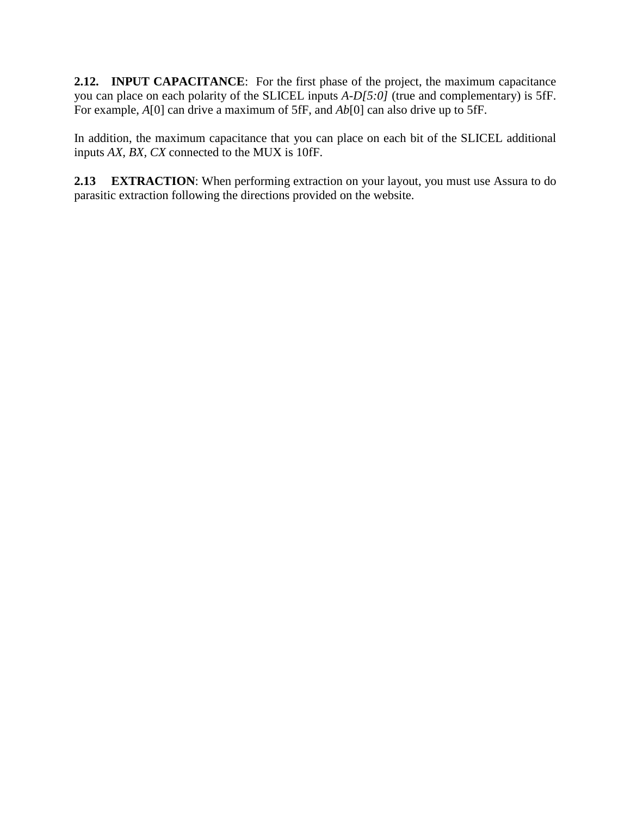**2.12. INPUT CAPACITANCE**: For the first phase of the project, the maximum capacitance you can place on each polarity of the SLICEL inputs *A-D[5:0]* (true and complementary) is 5fF. For example, *A*[0] can drive a maximum of 5fF, and *Ab*[0] can also drive up to 5fF.

In addition, the maximum capacitance that you can place on each bit of the SLICEL additional inputs *AX, BX, CX* connected to the MUX is 10fF.

**2.13 EXTRACTION**: When performing extraction on your layout, you must use Assura to do parasitic extraction following the directions provided on the website.